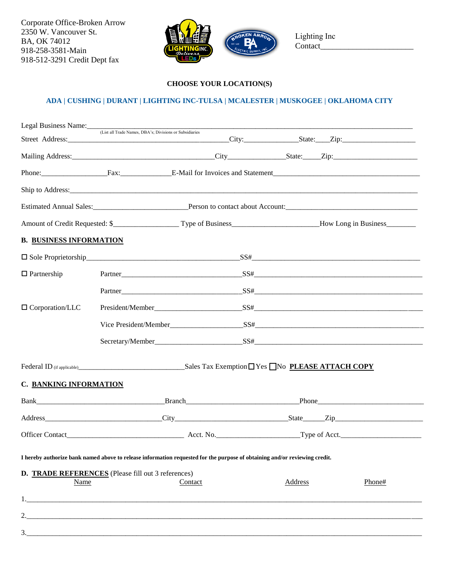Corporate Office-Broken Arrow 2350 W. Vancouver St. BA, OK 74012 918-258-3581-Main 918-512-3291 Credit Dept fax



Lighting Inc Contact\_

## **CHOOSE YOUR LOCATION(S)**

## **ADA | CUSHING | DURANT | [LIGHTING INC-TULSA](http://baes.com/locations) | MCALESTER | MUSKOGEE | OKLAHOMA CITY**

| Legal Business Name: (List all Trade Names, DBA's; Divisions or Subsidiaries |  |                                                                                                                            |                |  |        |  |
|------------------------------------------------------------------------------|--|----------------------------------------------------------------------------------------------------------------------------|----------------|--|--------|--|
|                                                                              |  |                                                                                                                            |                |  |        |  |
|                                                                              |  |                                                                                                                            |                |  |        |  |
|                                                                              |  | Phone: Fax: Fax: E-Mail for Invoices and Statement                                                                         |                |  |        |  |
|                                                                              |  |                                                                                                                            |                |  |        |  |
|                                                                              |  |                                                                                                                            |                |  |        |  |
|                                                                              |  |                                                                                                                            |                |  |        |  |
| <b>B. BUSINESS INFORMATION</b>                                               |  |                                                                                                                            |                |  |        |  |
|                                                                              |  |                                                                                                                            |                |  |        |  |
| $\Box$ Partnership                                                           |  |                                                                                                                            |                |  |        |  |
|                                                                              |  |                                                                                                                            |                |  |        |  |
| $\Box$ Corporation/LLC                                                       |  |                                                                                                                            |                |  |        |  |
|                                                                              |  |                                                                                                                            |                |  |        |  |
|                                                                              |  |                                                                                                                            |                |  |        |  |
|                                                                              |  |                                                                                                                            |                |  |        |  |
| C. BANKING INFORMATION                                                       |  |                                                                                                                            |                |  |        |  |
|                                                                              |  |                                                                                                                            |                |  |        |  |
|                                                                              |  |                                                                                                                            |                |  |        |  |
|                                                                              |  |                                                                                                                            |                |  |        |  |
|                                                                              |  | I hereby authorize bank named above to release information requested for the purpose of obtaining and/or reviewing credit. |                |  |        |  |
| D. TRADE REFERENCES (Please fill out 3 references)<br>Name                   |  | Contact                                                                                                                    | <b>Address</b> |  | Phone# |  |
|                                                                              |  |                                                                                                                            |                |  |        |  |
|                                                                              |  |                                                                                                                            |                |  |        |  |
| 3.                                                                           |  |                                                                                                                            |                |  |        |  |